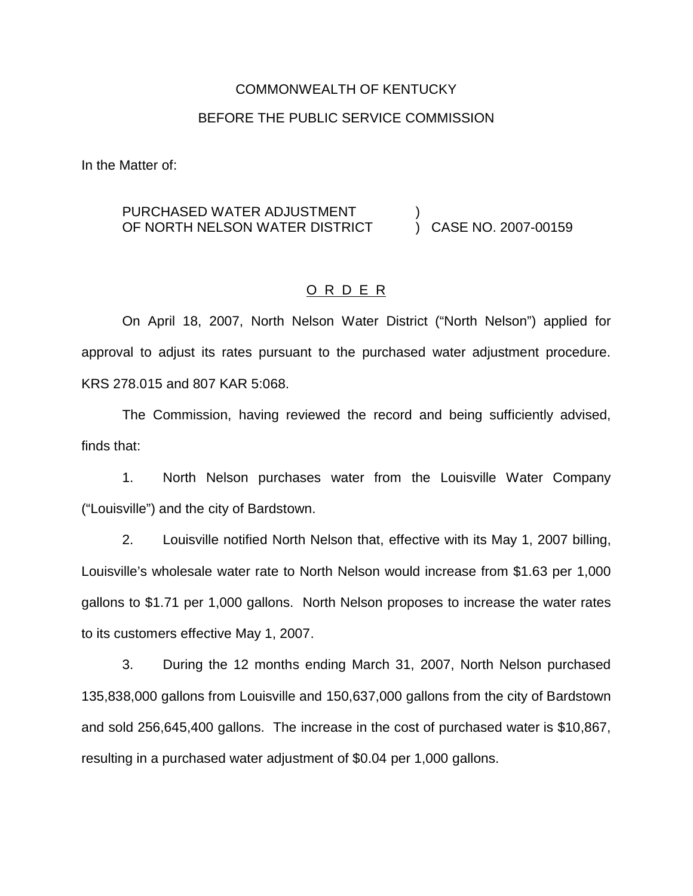# COMMONWEALTH OF KENTUCKY

### BEFORE THE PUBLIC SERVICE COMMISSION

In the Matter of:

#### PURCHASED WATER ADJUSTMENT OF NORTH NELSON WATER DISTRICT ) ) CASE NO. 2007-00159

### O R D E R

On April 18, 2007, North Nelson Water District ("North Nelson") applied for approval to adjust its rates pursuant to the purchased water adjustment procedure. KRS 278.015 and 807 KAR 5:068.

The Commission, having reviewed the record and being sufficiently advised, finds that:

1. North Nelson purchases water from the Louisville Water Company ("Louisville") and the city of Bardstown.

2. Louisville notified North Nelson that, effective with its May 1, 2007 billing, Louisville's wholesale water rate to North Nelson would increase from \$1.63 per 1,000 gallons to \$1.71 per 1,000 gallons. North Nelson proposes to increase the water rates to its customers effective May 1, 2007.

3. During the 12 months ending March 31, 2007, North Nelson purchased 135,838,000 gallons from Louisville and 150,637,000 gallons from the city of Bardstown and sold 256,645,400 gallons. The increase in the cost of purchased water is \$10,867, resulting in a purchased water adjustment of \$0.04 per 1,000 gallons.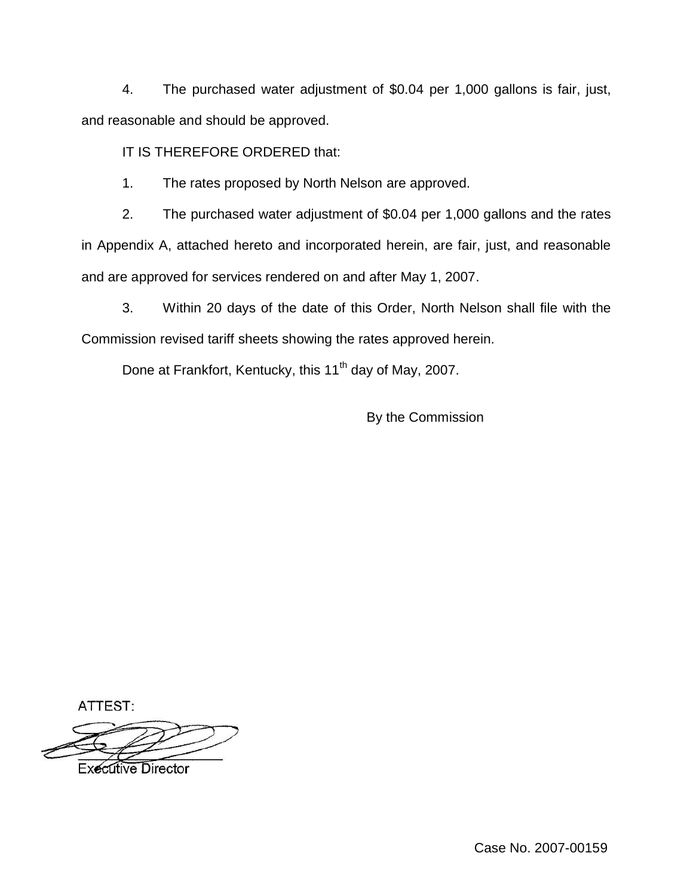4. The purchased water adjustment of \$0.04 per 1,000 gallons is fair, just, and reasonable and should be approved.

IT IS THEREFORE ORDERED that:

1. The rates proposed by North Nelson are approved.

2. The purchased water adjustment of \$0.04 per 1,000 gallons and the rates in Appendix A, attached hereto and incorporated herein, are fair, just, and reasonable and are approved for services rendered on and after May 1, 2007.

3. Within 20 days of the date of this Order, North Nelson shall file with the Commission revised tariff sheets showing the rates approved herein.

Done at Frankfort, Kentucky, this 11<sup>th</sup> day of May, 2007.

By the Commission

ATTEST:

**Executive Director** 

Case No. 2007-00159